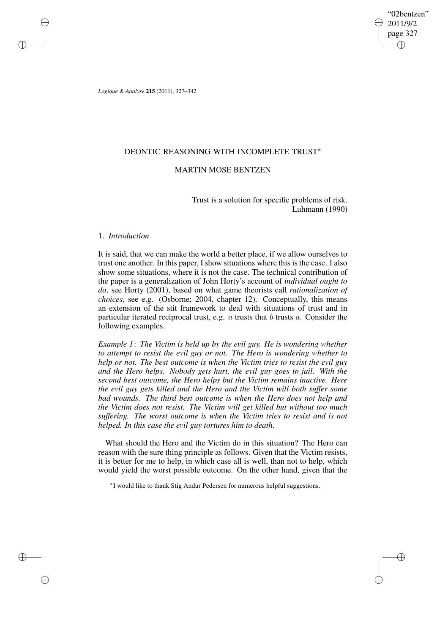"02bentzen" 2011/9/2 page 327 ✐ ✐

✐

✐

*Logique & Analyse* **215** (2011), 327–342

✐

✐

✐

✐

## DEONTIC REASONING WITH INCOMPLETE TRUST<sup>\*</sup>

# MARTIN MOSE BENTZEN

Trust is a solution for specific problems of risk. Luhmann (1990)

## 1. *Introduction*

It is said, that we can make the world a better place, if we allow ourselves to trust one another. In this paper, I show situations where this is the case. I also show some situations, where it is not the case. The technical contribution of the paper is a generalization of John Horty's account of *individual ought to do*, see Horty (2001), based on what game theorists call *rationalization of choices*, see e.g. (Osborne; 2004, chapter 12). Conceptually, this means an extension of the stit framework to deal with situations of trust and in particular iterated reciprocal trust, e.g.  $a$  trusts that  $b$  trusts  $a$ . Consider the following examples.

*Example 1*: *The Victim is held up by the evil guy. He is wondering whether to attempt to resist the evil guy or not. The Hero is wondering whether to help or not. The best outcome is when the Victim tries to resist the evil guy and the Hero helps. Nobody gets hurt, the evil guy goes to jail. With the second best outcome, the Hero helps but the Victim remains inactive. Here the evil guy gets killed and the Hero and the Victim will both suffer some bad wounds. The third best outcome is when the Hero does not help and the Victim does not resist. The Victim will get killed but without too much suffering. The worst outcome is when the Victim tries to resist and is not helped. In this case the evil guy tortures him to death.*

What should the Hero and the Victim do in this situation? The Hero can reason with the sure thing principle as follows. Given that the Victim resists, it is better for me to help, in which case all is well, than not to help, which would yield the worst possible outcome. On the other hand, given that the

∗ I would like to thank Stig Andur Pedersen for numerous helpful suggestions.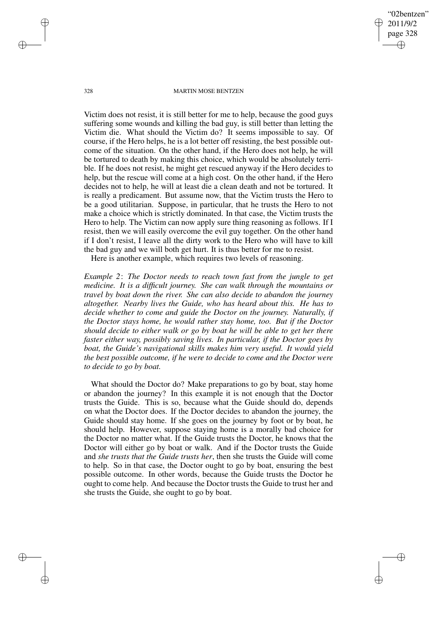328 MARTIN MOSE BENTZEN

"02bentzen" 2011/9/2 page 328

✐

✐

✐

✐

Victim does not resist, it is still better for me to help, because the good guys suffering some wounds and killing the bad guy, is still better than letting the Victim die. What should the Victim do? It seems impossible to say. Of course, if the Hero helps, he is a lot better off resisting, the best possible outcome of the situation. On the other hand, if the Hero does not help, he will be tortured to death by making this choice, which would be absolutely terrible. If he does not resist, he might get rescued anyway if the Hero decides to help, but the rescue will come at a high cost. On the other hand, if the Hero decides not to help, he will at least die a clean death and not be tortured. It is really a predicament. But assume now, that the Victim trusts the Hero to be a good utilitarian. Suppose, in particular, that he trusts the Hero to not make a choice which is strictly dominated. In that case, the Victim trusts the Hero to help. The Victim can now apply sure thing reasoning as follows. If I resist, then we will easily overcome the evil guy together. On the other hand if I don't resist, I leave all the dirty work to the Hero who will have to kill the bad guy and we will both get hurt. It is thus better for me to resist.

Here is another example, which requires two levels of reasoning.

*Example 2*: *The Doctor needs to reach town fast from the jungle to get medicine. It is a difficult journey. She can walk through the mountains or travel by boat down the river. She can also decide to abandon the journey altogether. Nearby lives the Guide, who has heard about this. He has to decide whether to come and guide the Doctor on the journey. Naturally, if the Doctor stays home, he would rather stay home, too. But if the Doctor should decide to either walk or go by boat he will be able to get her there faster either way, possibly saving lives. In particular, if the Doctor goes by boat, the Guide's navigational skills makes him very useful. It would yield the best possible outcome, if he were to decide to come and the Doctor were to decide to go by boat.*

What should the Doctor do? Make preparations to go by boat, stay home or abandon the journey? In this example it is not enough that the Doctor trusts the Guide. This is so, because what the Guide should do, depends on what the Doctor does. If the Doctor decides to abandon the journey, the Guide should stay home. If she goes on the journey by foot or by boat, he should help. However, suppose staying home is a morally bad choice for the Doctor no matter what. If the Guide trusts the Doctor, he knows that the Doctor will either go by boat or walk. And if the Doctor trusts the Guide and *she trusts that the Guide trusts her*, then she trusts the Guide will come to help. So in that case, the Doctor ought to go by boat, ensuring the best possible outcome. In other words, because the Guide trusts the Doctor he ought to come help. And because the Doctor trusts the Guide to trust her and she trusts the Guide, she ought to go by boat.

✐

✐

✐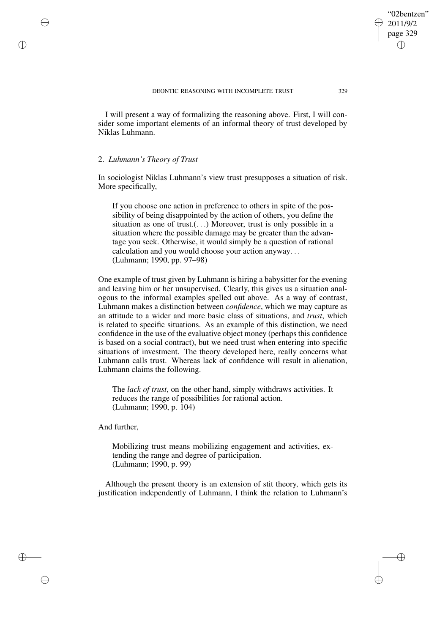I will present a way of formalizing the reasoning above. First, I will consider some important elements of an informal theory of trust developed by Niklas Luhmann.

### 2. *Luhmann's Theory of Trust*

✐

✐

✐

✐

In sociologist Niklas Luhmann's view trust presupposes a situation of risk. More specifically,

If you choose one action in preference to others in spite of the possibility of being disappointed by the action of others, you define the situation as one of trust.(...) Moreover, trust is only possible in a situation where the possible damage may be greater than the advantage you seek. Otherwise, it would simply be a question of rational calculation and you would choose your action anyway. . . (Luhmann; 1990, pp. 97–98)

One example of trust given by Luhmann is hiring a babysitter for the evening and leaving him or her unsupervised. Clearly, this gives us a situation analogous to the informal examples spelled out above. As a way of contrast, Luhmann makes a distinction between *confidence*, which we may capture as an attitude to a wider and more basic class of situations, and *trust*, which is related to specific situations. As an example of this distinction, we need confidence in the use of the evaluative object money (perhaps this confidence is based on a social contract), but we need trust when entering into specific situations of investment. The theory developed here, really concerns what Luhmann calls trust. Whereas lack of confidence will result in alienation, Luhmann claims the following.

The *lack of trust*, on the other hand, simply withdraws activities. It reduces the range of possibilities for rational action. (Luhmann; 1990, p. 104)

And further,

Mobilizing trust means mobilizing engagement and activities, extending the range and degree of participation. (Luhmann; 1990, p. 99)

Although the present theory is an extension of stit theory, which gets its justification independently of Luhmann, I think the relation to Luhmann's

"02bentzen" 2011/9/2 page 329

✐

✐

✐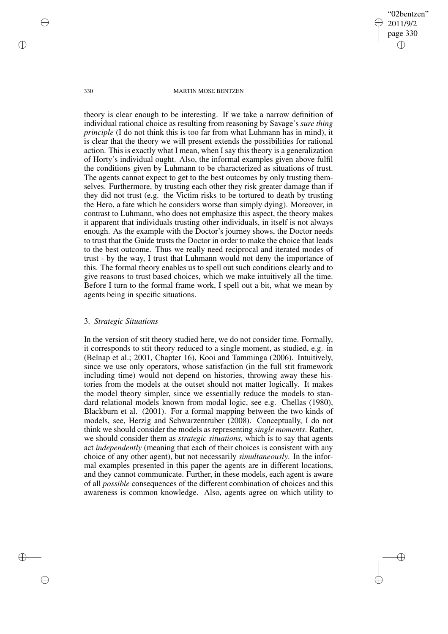"02bentzen" 2011/9/2 page 330 ✐ ✐

✐

✐

### 330 MARTIN MOSE BENTZEN

theory is clear enough to be interesting. If we take a narrow definition of individual rational choice as resulting from reasoning by Savage's *sure thing principle* (I do not think this is too far from what Luhmann has in mind), it is clear that the theory we will present extends the possibilities for rational action. This is exactly what I mean, when I say this theory is a generalization of Horty's individual ought. Also, the informal examples given above fulfil the conditions given by Luhmann to be characterized as situations of trust. The agents cannot expect to get to the best outcomes by only trusting themselves. Furthermore, by trusting each other they risk greater damage than if they did not trust (e.g. the Victim risks to be tortured to death by trusting the Hero, a fate which he considers worse than simply dying). Moreover, in contrast to Luhmann, who does not emphasize this aspect, the theory makes it apparent that individuals trusting other individuals, in itself is not always enough. As the example with the Doctor's journey shows, the Doctor needs to trust that the Guide trusts the Doctor in order to make the choice that leads to the best outcome. Thus we really need reciprocal and iterated modes of trust - by the way, I trust that Luhmann would not deny the importance of this. The formal theory enables us to spell out such conditions clearly and to give reasons to trust based choices, which we make intuitively all the time. Before I turn to the formal frame work, I spell out a bit, what we mean by agents being in specific situations.

## 3. *Strategic Situations*

In the version of stit theory studied here, we do not consider time. Formally, it corresponds to stit theory reduced to a single moment, as studied, e.g. in (Belnap et al.; 2001, Chapter 16), Kooi and Tamminga (2006). Intuitively, since we use only operators, whose satisfaction (in the full stit framework including time) would not depend on histories, throwing away these histories from the models at the outset should not matter logically. It makes the model theory simpler, since we essentially reduce the models to standard relational models known from modal logic, see e.g. Chellas (1980), Blackburn et al. (2001). For a formal mapping between the two kinds of models, see, Herzig and Schwarzentruber (2008). Conceptually, I do not think we should consider the models as representing *single moments*. Rather, we should consider them as *strategic situations*, which is to say that agents act *independently* (meaning that each of their choices is consistent with any choice of any other agent), but not necessarily *simultaneously*. In the informal examples presented in this paper the agents are in different locations, and they cannot communicate. Further, in these models, each agent is aware of all *possible* consequences of the different combination of choices and this awareness is common knowledge. Also, agents agree on which utility to

✐

✐

✐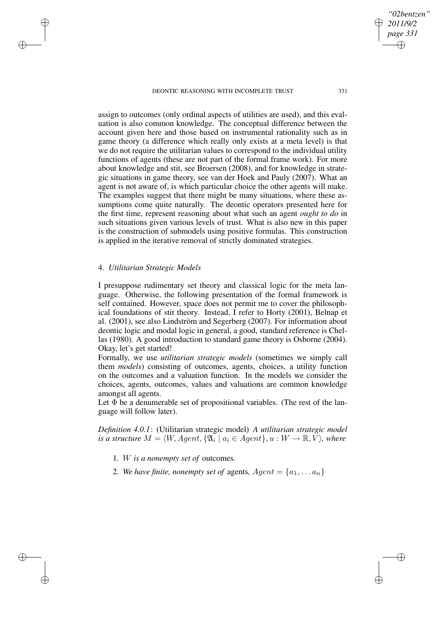assign to outcomes (only ordinal aspects of utilities are used), and this evaluation is also common knowledge. The conceptual difference between the account given here and those based on instrumental rationality such as in game theory (a difference which really only exists at a meta level) is that we do not require the utilitarian values to correspond to the individual utility functions of agents (these are not part of the formal frame work). For more about knowledge and stit, see Broersen (2008), and for knowledge in strategic situations in game theory, see van der Hoek and Pauly (2007). What an agent is not aware of, is which particular choice the other agents will make. The examples suggest that there might be many situations, where these assumptions come quite naturally. The deontic operators presented here for the first time, represent reasoning about what such an agent *ought to do* in such situations given various levels of trust. What is also new in this paper is the construction of submodels using positive formulas. This construction is applied in the iterative removal of strictly dominated strategies.

# 4. *Utilitarian Strategic Models*

✐

✐

✐

✐

I presuppose rudimentary set theory and classical logic for the meta language. Otherwise, the following presentation of the formal framework is self contained. However, space does not permit me to cover the philosophical foundations of stit theory. Instead, I refer to Horty (2001), Belnap et al. (2001), see also Lindström and Segerberg (2007). For information about deontic logic and modal logic in general, a good, standard reference is Chellas (1980). A good introduction to standard game theory is Osborne (2004). Okay, let's get started!

Formally, we use *utilitarian strategic models* (sometimes we simply call them *models*) consisting of outcomes, agents, choices, a utility function on the outcomes and a valuation function. In the models we consider the choices, agents, outcomes, values and valuations are common knowledge amongst all agents.

Let  $\Phi$  be a denumerable set of propositional variables. (The rest of the language will follow later).

*Definition 4.0.1*: (Utilitarian strategic model) *A utilitarian strategic model*  $i$ *s*  $\overset{\circ}{a}$  *structure*  $M = \langle W, Agent, \{ \mathfrak{A}_i \mid a_i \in Agent \}, u : W \rightarrow \mathbb{R}, \breve{V} \rangle$ *, where* 

- 1. W *is a nonempty set of* outcomes*.*
- 2. We have finite, nonempty set of agents,  $Agent = \{a_1, \ldots a_n\}$

*"02bentzen" 2011/9/2 page 331* ✐ ✐

✐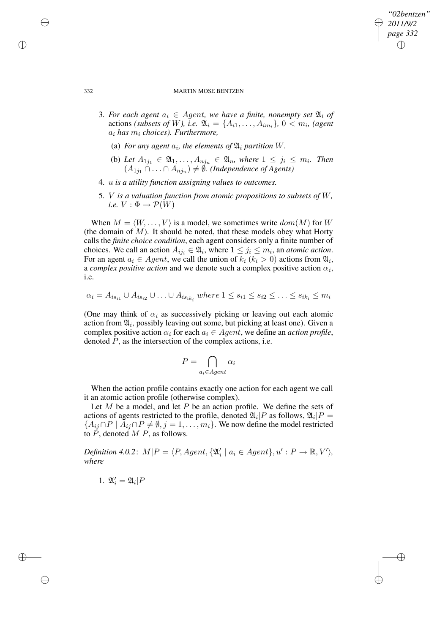## *"02bentzen" 2011/9/2 page 332* ✐ ✐

✐

✐

### 332 MARTIN MOSE BENTZEN

- 3. For each agent  $a_i \in Agent$ , we have a finite, nonempty set  $\mathfrak{A}_i$  of actions *(subsets of W), i.e.*  $\mathfrak{A}_i = \{A_{i1}, \ldots, A_{im_i}\},\ 0 \lt m_i$ , *(agent* a<sup>i</sup> *has* m<sup>i</sup> *choices). Furthermore,*
	- (a) For any agent  $a_i$ , the elements of  $\mathfrak{A}_i$  partition W.
	- (b) Let  $A_{1j_1} \in \mathfrak{A}_1, \ldots, A_{nj_n} \in \mathfrak{A}_n$ , where  $1 \leq j_i \leq m_i$ . Then  $(A_{1j_1} ∩ \ldots ∩ A_{nj_n})$  ≠  $\emptyset$ . (Independence of Agents)
- 4. u *is a utility function assigning values to outcomes.*
- 5. V *is a valuation function from atomic propositions to subsets of* W*, i.e.*  $V : \Phi \rightarrow \mathcal{P}(W)$

When  $M = \langle W, \ldots, V \rangle$  is a model, we sometimes write  $dom(M)$  for W (the domain of  $M$ ). It should be noted, that these models obey what Horty calls the *finite choice condition*, each agent considers only a finite number of choices. We call an action  $A_{ij_i} \in \mathfrak{A}_i$ , where  $1 \leq j_i \leq m_i$ , an *atomic action*. For an agent  $a_i \in Agent$ , we call the union of  $k_i$  ( $k_i > 0$ ) actions from  $\mathfrak{A}_i$ , a *complex positive action* and we denote such a complex positive action  $\alpha_i$ , i.e.

$$
\alpha_i = A_{is_{i1}} \cup A_{is_{i2}} \cup \ldots \cup A_{is_{ik_i}} \text{ where } 1 \leq s_{i1} \leq s_{i2} \leq \ldots \leq s_{ik_i} \leq m_i
$$

(One may think of  $\alpha_i$  as successively picking or leaving out each atomic action from  $\mathfrak{A}_i$ , possibly leaving out some, but picking at least one). Given a complex positive action  $\alpha_i$  for each  $a_i \in Agent$ , we define an *action* profile, denoted  $P$ , as the intersection of the complex actions, i.e.

$$
P = \bigcap_{a_i \in Agent} \alpha_i
$$

When the action profile contains exactly one action for each agent we call it an atomic action profile (otherwise complex).

Let  $M$  be a model, and let  $P$  be an action profile. We define the sets of actions of agents restricted to the profile, denoted  $\mathfrak{A}_i|P$  as follows,  $\mathfrak{A}_i|P =$  ${A_{ij} \cap P \mid A_{ij} \cap P \neq \emptyset, j = 1, \ldots, m_i}.$  We now define the model restricted to  $\tilde{P}$ , denoted  $M|P$ , as follows.

 $Definition 4.0.2: M|P = \langle P, Agent, \{\mathfrak{A}'_i \mid a_i \in Agent\}, u': P \rightarrow \mathbb{R}, V' \rangle,$ *where*

$$
1. \ \mathfrak A'_i = \mathfrak A_i|P
$$

✐

✐

✐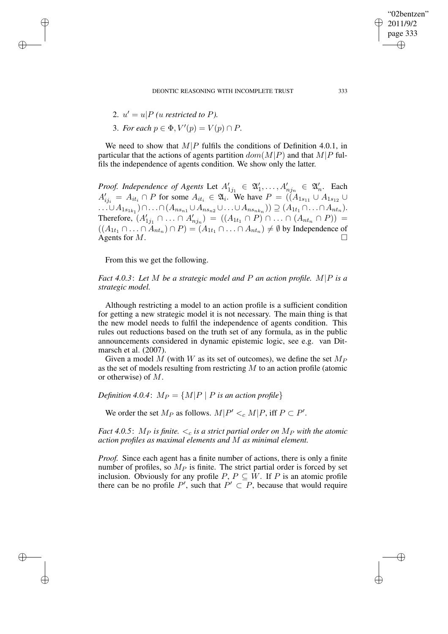2.  $u' = u \mid P$  *(u restricted to P).* 

✐

✐

✐

✐

3. *For each*  $p \in \Phi$ ,  $V'(p) = V(p) \cap P$ .

We need to show that  $M|P$  fulfils the conditions of Definition 4.0.1, in particular that the actions of agents partition  $dom(M|P)$  and that  $M|P$  fulfils the independence of agents condition. We show only the latter.

*Proof. Independence of Agents* Let  $A'_{1j_1} \in \mathfrak{A}'_1, \ldots, A'_{nj_n} \in \mathfrak{A}'_n$ . Each  $A'_{ij_i} = A_{it_i} \cap P$  for some  $A_{it_i} \in \mathfrak{A}_i$ . We have  $P = \left(\hat{A}_{1s_{11}} \cup A_{1s_{12}} \cup \hat{A}_{1s_{13}}\right)$  $\ldots \cup A_{1s_{1k_1}}) \cap \ldots \cap (A_{ns_{n1}} \cup A_{ns_{n2}} \cup \ldots \cup A_{ns_{nk_n}})) \supseteq (A_{1t_1} \cap \ldots \cap A_{nt_n}).$ Therefore,  $(A'_{1j_1} \cap ... \cap A'_{nj_n}) = ((A_{1t_1} \cap P) \cap ... \cap (A_{nt_n} \cap P)) =$  $((A_{1t_1} \cap ... \cap A_{nt_n}) \cap P) = (A_{1t_1} \cap ... \cap A_{nt_n}) \neq \emptyset$  by Independence of Agents for  $M$ .

From this we get the following.

*Fact 4.0.3*: *Let* M *be a strategic model and* P *an action profile.* M|P *is a strategic model.*

Although restricting a model to an action profile is a sufficient condition for getting a new strategic model it is not necessary. The main thing is that the new model needs to fulfil the independence of agents condition. This rules out reductions based on the truth set of any formula, as in the public announcements considered in dynamic epistemic logic, see e.g. van Ditmarsch et al. (2007).

Given a model M (with W as its set of outcomes), we define the set  $M_P$ as the set of models resulting from restricting  $M$  to an action profile (atomic or otherwise) of M.

*Definition* 4.0.4:  $M_P = \{M|P \mid P$  *is an action profile*}

We order the set  $M_P$  as follows.  $M|P' <_{c} M|P$ , iff  $P \subset P'$ .

*Fact* 4.0.5:  $M_P$  *is finite.*  $\lt_c$  *is a strict partial order on*  $M_P$  *with the atomic action profiles as maximal elements and* M *as minimal element.*

*Proof.* Since each agent has a finite number of actions, there is only a finite number of profiles, so  $M_P$  is finite. The strict partial order is forced by set inclusion. Obviously for any profile P,  $P \subseteq W$ . If P is an atomic profile there can be no profile P', such that  $P' \subset P$ , because that would require

"02bentzen" 2011/9/2 page 333

✐

✐

✐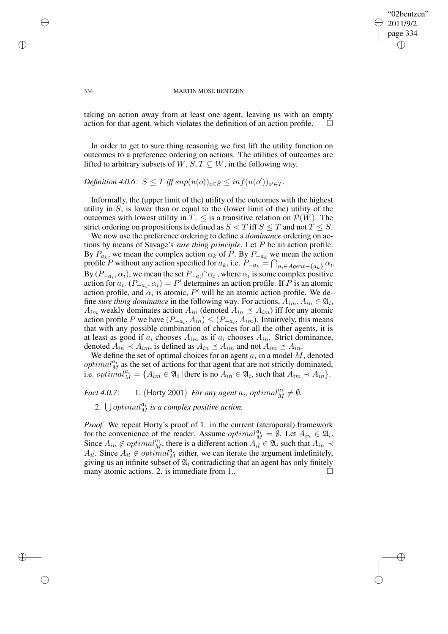#### 334 MARTIN MOSE BENTZEN

"02bentzen" 2011/9/2 page 334

✐

✐

✐

✐

taking an action away from at least one agent, leaving us with an empty action for that agent, which violates the definition of an action profile.  $\Box$ 

In order to get to sure thing reasoning we first lift the utility function on outcomes to a preference ordering on actions. The utilities of outcomes are lifted to arbitrary subsets of  $W, S, T \subseteq W$ , in the following way.

 $Definition 4.0.6: S \leq T \ iff \ sup(u(o))_{o \in S} \leq inf(u(o'))_{o' \in T}.$ 

Informally, the (upper limit of the) utility of the outcomes with the highest utility in  $S$ , is lower than or equal to the (lower limit of the) utility of the outcomes with lowest utility in  $T \leq$  is a transitive relation on  $\mathcal{P}(W)$ . The strict ordering on propositions is defined as  $S < T$  iff  $S \leq T$  and not  $T \leq S$ .

We now use the preference ordering to define a *dominance* ordering on actions by means of Savage's *sure thing principle*. Let P be an action profile. By  $P_{a_k}$ , we mean the complex action  $\alpha_k$  of P. By  $P_{-a_k}$  we mean the action profile P without any action specified for  $a_k$ , i.e.  $P_{-a_k} = \bigcap_{a_i \in Agent - \{a_k\}} \alpha_i$ . By  $(P_{-a_i}, \alpha_i)$ , we mean the set  $P_{-a_i} \cap \alpha_i$ , where  $\alpha_i$  is some complex positive action for  $a_i$ .  $(P_{-a_i}, \alpha_i) = P'$  determines an action profile. If P is an atomic action profile, and  $\alpha_i$  is atomic, P' will be an atomic action profile. We define *sure thing dominance* in the following way. For actions,  $A_{im}$ ,  $A_{in} \in \mathfrak{A}_i$ ,  $A_{im}$  weakly dominates action  $A_{in}$  (denoted  $A_{in} \preceq A_{im}$ ) iff for any atomic action profile P we have  $(P_{-a_i}, A_{in}) \le (P_{-a_i}, A_{im})$ . Intuitively, this means that with any possible combination of choices for all the other agents, it is at least as good if  $a_i$  chooses  $A_{im}$  as if  $a_i$  chooses  $A_{in}$ . Strict dominance, denoted  $A_{in} \prec A_{im}$ , is defined as  $A_{in} \preceq A_{im}$  and not  $A_{im} \preceq A_{in}$ .

We define the set of optimal choices for an agent  $a_i$  in a model M, denoted *optimal*<sup>ai</sup> as the set of actions for that agent that are not strictly dominated, i.e.  $\text{optimal}_{M}^{a_{i}} = \{A_{im} \in \mathfrak{A}_{i} \mid \text{there is no } A_{in} \in \mathfrak{A}_{i}, \text{such that } A_{im} \prec A_{in}\}.$ 

*Fact* 4.0.7: 1. (Horty 2001) *For any agent*  $a_i$ ,  $optimal_M^{a_i} \neq \emptyset$ .

2.  $\bigcup optimal_M^{a_i}$  *is a complex positive action.* 

*Proof.* We repeat Horty's proof of 1. in the current (atemporal) framework for the convenience of the reader. Assume  $\varphi p \, \mathrm{d} u \, \mathrm{d} u = \emptyset$ . Let  $A_{in} \in \mathfrak{A}_i$ . Since  $A_{in} \notin optimal_M^{a_i}$ , there is a different action  $A_{il}^{\{m\}} \in \mathfrak{A}_i$  such that  $A_{in} \prec$  $A_{il}$ . Since  $A_{il} \notin optimal_M^{a_i}$  either, we can iterate the argument indefinitely, giving us an infinite subset of  $\mathfrak{A}_i$  contradicting that an agent has only finitely many atomic actions. 2. is immediate from 1..  $\Box$ 

✐

✐

✐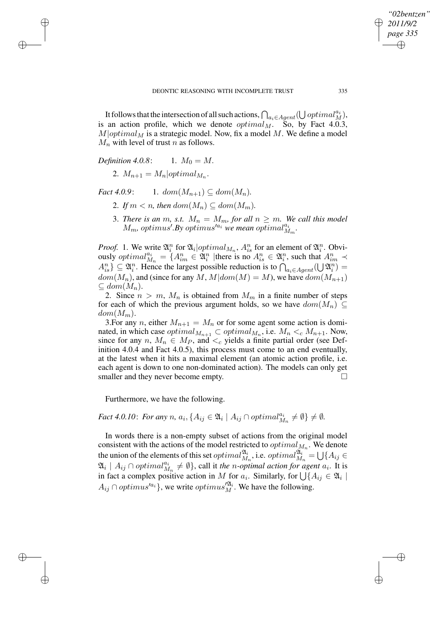It follows that the intersection of all such actions,  $\bigcap_{a_i \in Agent} (\bigcup optimal^{a_i}_{M}),$ is an action profile, which we denote  $optimal_M$ . So, by Fact 4.0.3,  $M|optimal_M$  is a strategic model. Now, fix a model M. We define a model  $M_n$  with level of trust n as follows.

*Definition 4.0.8*: 
$$
1. M_0 = M
$$
.

✐

✐

✐

✐

2.  $M_{n+1} = M_n |optimal_{M_n}$ .

*Fact* 4.0.9: 1.  $dom(M_{n+1}) \subset dom(M_n)$ .

- 2. If  $m < n$ , then  $dom(M_n) \subset dom(M_m)$ .
- 3. *There is an*  $m$ , *s.t.*  $M_n = M_m$ , for all  $n \geq m$ . We call this model  $M_m$ , optimus'.By optimus'<sup>*a*i</sup> we mean optimal<sup>ai</sup><sub> $M_m$ </sub>.

*Proof.* 1. We write  $\mathfrak{A}_i^n$  for  $\mathfrak{A}_i$  |  $optimal_{M_n}$ ,  $A_{is}^n$  for an element of  $\mathfrak{A}_i^n$ . Obviously *optimal* $a_{M_n}^{a_i} = \{A_{im}^n \in \mathfrak{A}_i^n \mid \text{there is no } A_{is}^n \in \mathfrak{A}_i^n, \text{ such that } A_{im}^n \prec$  $A_{is}^n$ }  $\subseteq \mathfrak{A}_i^n$ . Hence the largest possible reduction is to  $\bigcap_{a_i \in Agent} (\bigcup \mathfrak{A}_i^n)$  =  $dom(M_n)$ , and (since for any M,  $M|dom(M) = M$ ), we have  $dom(M_{n+1})$  $\subseteq dom(M_n).$ 

2. Since  $n > m$ ,  $M_n$  is obtained from  $M_m$  in a finite number of steps for each of which the previous argument holds, so we have  $dom(M_n) \subseteq$  $dom(M_m)$ .

3. For any n, either  $M_{n+1} = M_n$  or for some agent some action is dominated, in which case  $optimal_{M_{n+1}} \subset optimal_{M_n}$ , i.e.  $M_n \lt_c M_{n+1}$ . Now, since for any  $n, M_n \in M_P$ , and  $\lt_c$  yields a finite partial order (see Definition 4.0.4 and Fact 4.0.5), this process must come to an end eventually, at the latest when it hits a maximal element (an atomic action profile, i.e. each agent is down to one non-dominated action). The models can only get smaller and they never become empty.

Furthermore, we have the following.

*Fact* 4.0.10: *For any n*,  $a_i$ ,  $\{A_{ij} \in \mathfrak{A}_i \mid A_{ij} \cap optimal_{M_n}^{a_i} \neq \emptyset\} \neq \emptyset$ .

In words there is a non-empty subset of actions from the original model consistent with the actions of the model restricted to  $optimal_{M_n}$ . We denote the union of the elements of this set  $optimal_{M_n}^{\mathfrak{A}_i}$ , i.e.  $optimal_{M_n}^{\mathfrak{A}_i^{(n)}} = \bigcup \{A_{ij} \in$  $\mathfrak{A}_i \mid A_{ij} \cap optimal_{M_n}^{a_i} \neq \emptyset$ , call it *the n*-optimal action for agent  $a_i$ . It is in fact a complex positive action in M for  $a_i$ . Similarly, for  $\bigcup \{A_{ij} \in \mathfrak{A}_i \mid \mathfrak{A}_i\}$  $A_{ij} \cap optimus'^{a_i}$ , we write  $optimus'^{a_i}$ . We have the following.

*"02bentzen" 2011/9/2 page 335*

✐

✐

✐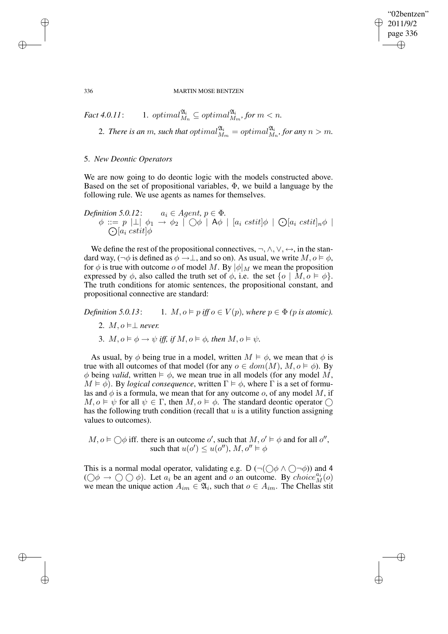"02bentzen" 2011/9/2 page 336 ✐ ✐

✐

✐

#### 336 MARTIN MOSE BENTZEN

$$
\begin{aligned}\n\text{Fact 4.0.11:} \qquad & 1. \text{ optimal}_{M_n}^{\mathfrak{A}_i} \subseteq \text{optimal}_{M_m}^{\mathfrak{A}_i}, \text{for } m < n. \\
& 2. \text{ There is an } m, \text{ such that } \text{optimal}_{M_m}^{\mathfrak{A}_i} = \text{optimal}_{M_n}^{\mathfrak{A}_i}, \text{for any } n > m.\n\end{aligned}
$$

## 5. *New Deontic Operators*

We are now going to do deontic logic with the models constructed above. Based on the set of propositional variables,  $\Phi$ , we build a language by the following rule. We use agents as names for themselves.

*Definition*  $5.0.12$ :  $a_i \in Agent, p \in \Phi$ .  $\phi\ ::=\ p\ \ket{\perp}\ \phi_1\ \rightarrow\ \phi_2\ \mid\bigcirc \phi\ \mid\ {\sf A}\phi\ \mid\ [a_i\ \textit{cstit}] \phi\ \mid\ \bigcirc\lbrack a_i\ \textit{cstit}]_n\phi\ \mid\$  $\bigodot[a_i \;cstit] \phi$ 

We define the rest of the propositional connectives,  $\neg, \wedge, \vee, \leftrightarrow$ , in the standard way,  $(\neg \phi$  is defined as  $\phi \rightarrow \bot$ , and so on). As usual, we write  $M, o \models \phi$ , for  $\phi$  is true with outcome o of model M. By  $|\phi|_M$  we mean the proposition expressed by  $\phi$ , also called the truth set of  $\phi$ , i.e. the set  $\{o \mid M, o \models \phi\}$ . The truth conditions for atomic sentences, the propositional constant, and propositional connective are standard:

*Definition* 5.0.13: 1.  $M, o \models p$  *iff*  $o \in V(p)$ *, where*  $p \in \Phi$  *(p is atomic).* 

- 2.  $M, o \models \perp$  *never.*
- 3.  $M, o \models \phi \rightarrow \psi$  *iff, if*  $M, o \models \phi$ *, then*  $M, o \models \psi$ *.*

As usual, by  $\phi$  being true in a model, written  $M \models \phi$ , we mean that  $\phi$  is true with all outcomes of that model (for any  $o \in dom(M), M, o \models \phi$ ). By  $\phi$  being *valid*, written  $\models \phi$ , we mean true in all models (for any model M,  $M \models \phi$ ). By *logical consequence*, written  $\Gamma \models \phi$ , where  $\Gamma$  is a set of formulas and  $\phi$  is a formula, we mean that for any outcome o, of any model M, if  $M, \rho \models \psi$  for all  $\psi \in \Gamma$ , then  $M, \rho \models \phi$ . The standard deontic operator  $\bigcap$ has the following truth condition (recall that  $u$  is a utility function assigning values to outcomes).

 $M, o \models \bigcirc \phi$  iff. there is an outcome o', such that  $M, o' \models \phi$  and for all o'', such that  $u(o') \leq u(o'')$ ,  $M, o'' \models \phi$ 

This is a normal modal operator, validating e.g. D ( $\neg$ ( $\bigcirc$  $\phi \land \bigcirc \neg \phi$ )) and 4  $(\bigcirc \phi \to \bigcirc \bigcirc \phi)$ . Let  $a_i$  be an agent and o an outcome. By choice  ${}^{a_i}_{M}(o)$ we mean the unique action  $A_{im} \in \mathfrak{A}_i$ , such that  $o \in A_{im}$ . The Chellas stituding

✐

✐

✐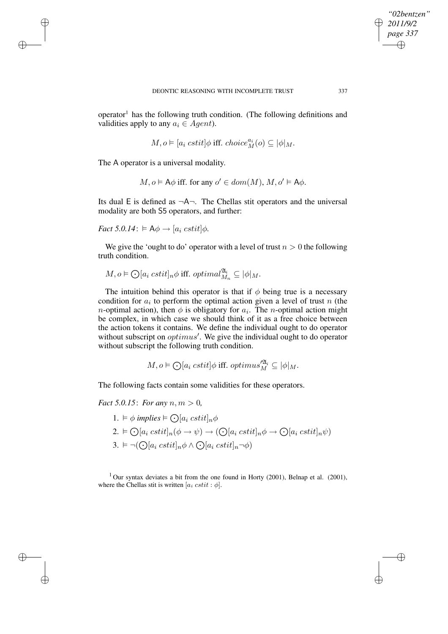operator<sup>1</sup> has the following truth condition. (The following definitions and validities apply to any  $a_i \in Agent$ ).

$$
M,o\vDash [a_i\;cstit]\phi\;{\rm iff.\;choice}^{a_i}_{M}(o)\subseteq |\phi|_M.
$$

The A operator is a universal modality.

✐

✐

✐

✐

 $M, o \models A\phi$  iff. for any  $o' \in dom(M), M, o' \models A\phi$ .

Its dual E is defined as  $\neg A\neg$ . The Chellas stit operators and the universal modality are both S5 operators, and further:

*Fact*  $5.0.14$ :  $\models$   $\mathsf{A}\phi \rightarrow [a_i \; cstit] \phi$ .

We give the 'ought to do' operator with a level of trust  $n > 0$  the following truth condition.

$$
M, o \vDash \bigodot [a_i \; cstit]_n \phi \; \text{iff.} \; optimal_{M_n}^{\mathfrak{A}_i} \subseteq |\phi|_M.
$$

The intuition behind this operator is that if  $\phi$  being true is a necessary condition for  $a_i$  to perform the optimal action given a level of trust n (the *n*-optimal action), then  $\phi$  is obligatory for  $a_i$ . The *n*-optimal action might be complex, in which case we should think of it as a free choice between the action tokens it contains. We define the individual ought to do operator without subscript on  $optimus'$ . We give the individual ought to do operator without subscript the following truth condition.

$$
M, o \vDash \bigodot[a_i \; cstit] \phi \; \text{iff.} \; optimus_M^{\prime \mathfrak{A}_i} \subseteq |\phi|_M.
$$

The following facts contain some validities for these operators.

*Fact* 5.0.15: *For any*  $n, m > 0$ ,

1.  $\models \phi$  *implies*  $\models \bigodot[a_i \; cstit]_n \phi$ 2.  $\vdash \bigodot [a_i \; cstit]_n(\phi \to \psi) \to (\bigodot [a_i \; cstit]_n \phi \to \bigodot [a_i \; cstit]_n \psi)$ 3.  $\vDash \neg (\bigodot [a_i \; cstit]_n \phi \land \bigodot [a_i \; cstit]_n \neg \phi)$ 

 $1$  Our syntax deviates a bit from the one found in Horty (2001), Belnap et al. (2001), where the Chellas stit is written  $[a_i \; cstit : \phi]$ .

*"02bentzen" 2011/9/2 page 337*

✐

✐

✐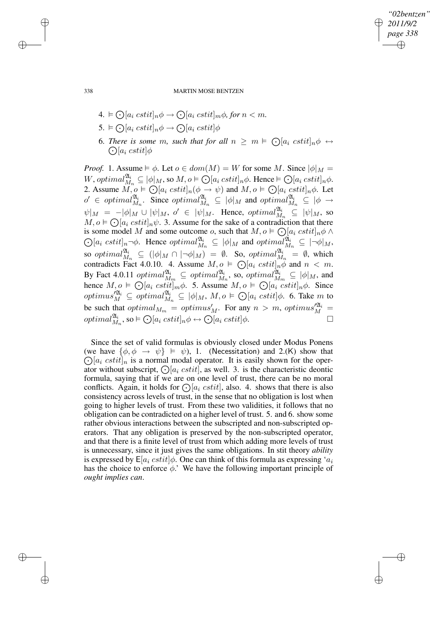*"02bentzen" 2011/9/2 page 338* ✐ ✐

✐

✐

338 MARTIN MOSE BENTZEN

- $4. \models \bigodot [a_i \; cstit]_n\phi \rightarrow \bigodot [a_i \; cstit]_m\phi, for\; n < m.$
- 5.  $\vdash \bigodot [a_i \; cstit]_n \phi \rightarrow \bigodot [a_i \; cstit] \phi$
- 6. There is some m, such that for all  $n \ge m \vDash \bigodot[a_i \; cstit]_n \phi \leftrightarrow$  $\bigodot[a_i \;cstit] \phi$

*Proof.* 1. Assume  $\models \phi$ . Let  $o \in dom(M) = W$  for some M. Since  $|\phi|_M =$ W, optimal $\mathcal{X}_{M_n}^{\mathfrak{A}_i} \subseteq |\phi|_M$ , so  $M, o \models \bigodot [a_i \; cstit]_n\phi$ . Hence  $\models \bigodot [a_i \; cstit]_n\phi$ . 2. Assume  $\overline{M}$ ,  $o \models \bigodot [a_i \; cstit]_n(\phi \rightarrow \psi)$  and  $M, o \models \bigodot [a_i \; cstit]_n\phi$ . Let  $o' \in optimal_{M_n}^{\mathfrak{A}_i}$ . Since  $optimal_{M_n}^{\mathfrak{A}_i} \subseteq |\phi|_M$  and  $optimal_{M_n}^{\mathfrak{A}_i} \subseteq |\phi| \to$  $\psi|_M = -|\phi|_M \cup |\psi|_M$ ,  $o' \in |\psi|_M$ . Hence,  $\varphi$ *imal* $\frac{\mathfrak{A}_i}{M_n} \subseteq |\psi|_M$ , so  $M, o \models \bigodot [a_i \; cstit]_n\psi$ . 3. Assume for the sake of a contradiction that there is some model M and some outcome o, such that  $M, o \models \bigodot$  $\odot$  $[a_i \; cstit]_n \phi \wedge$  $[a_i \; cstit]_n \neg \phi$ . Hence  $optimal_{M_n}^{\mathfrak{A}_i} \subseteq |\phi|_M$  and  $optimal_{M_n}^{\mathfrak{A}_i} \subseteq |\neg \phi|_M$ , so optimal $\mathcal{U}_{M_n}^{\mathfrak{A}_i} \subseteq (|\phi|_M \cap |\neg \phi|_M) = \emptyset$ . So, optimal $\mathcal{U}_{M_n}^{\mathfrak{A}_i} = \emptyset$ , which contradicts Fact 4.0.10. 4. Assume  $M, o \models \bigodot [a_i \; cstit]_n \phi$  and  $n < m$ . By Fact 4.0.11  $\varphi$ *b*  $\varphi$   $\cong$   $\varphi$   $\varphi$   $\varphi$   $\varphi$   $\varphi$   $\varphi$   $\varphi$   $\varphi$   $\varphi$   $\varphi$   $\varphi$   $\varphi$   $\varphi$   $\varphi$   $\varphi$   $\varphi$   $\varphi$   $\varphi$   $\varphi$   $\varphi$   $\varphi$   $\varphi$   $\varphi$   $\varphi$   $\varphi$   $\varphi$   $\varphi$   $\varphi$   $\varphi$   $\varphi$   $\varphi$ hence  $M, o \models \bigodot [a_i \ cstit]_m \phi$ . 5. Assume  $M, o \models \bigodot [a_i \ cstit]_n \phi$ . Since optimus $\mathbb{Z}_M^{2i} \subseteq \text{optimal}_{M_n}^{2i} \subseteq |\phi|_M$ ,  $M, o \models \bigodot[a_i \; cstit] \phi$ . 6. Take m to be such that optimal<sub>Mm</sub> = optimus<sup>'</sup><sub>M</sub>. For any  $n > m$ , optimus'<sup>2</sup><sub>M</sub><sup>2</sup> =  $\varphi$ optimal $\mathcal{U}_{M_n}^{a_i}$ , so  $\vdash \bigodot [a_i \; cstit]_n \phi \leftrightarrow \bigodot [a_i \; cstit] \phi$ .

Since the set of valid formulas is obviously closed under Modus Ponens (we have  $\{\phi, \phi \rightarrow \psi\} \models \psi$ ), 1. (Necessitation) and 2.(K) show that  $\bigodot [a_i \; cstit]_n$  is a normal modal operator. It is easily shown for the operator without subscript,  $\bigcap_{a_i} cstit$ , as well. 3. is the characteristic deontic formula, saying that if we are on one level of trust, there can be no moral conflicts. Again, it holds for  $\bigcirc$  [ $a_i$  cstit], also. 4. shows that there is also consistency across levels of trust, in the sense that no obligation is lost when going to higher levels of trust. From these two validities, it follows that no obligation can be contradicted on a higher level of trust. 5. and 6. show some rather obvious interactions between the subscripted and non-subscripted operators. That any obligation is preserved by the non-subscripted operator, and that there is a finite level of trust from which adding more levels of trust is unnecessary, since it just gives the same obligations. In stit theory *ability* is expressed by  $E[a_i \, cstit] \phi$ . One can think of this formula as expressing ' $a_i$ has the choice to enforce  $\phi$ .' We have the following important principle of *ought implies can*.

✐

✐

✐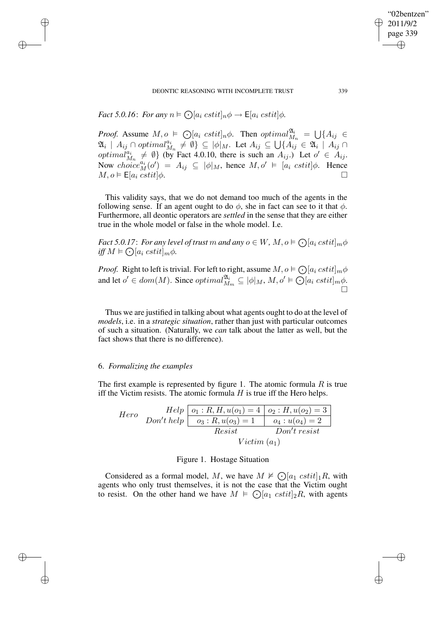*Fact* 5.0.16: *For any*  $n \models \bigodot [a_i \ cstit]_n \phi \rightarrow \mathsf{E}[a_i \ cstit] \phi$ *.* 

✐

✐

✐

✐

*Proof.* Assume  $M, o \models \bigodot [a_i \ cstit]_n \phi$ . Then  $\varphi \in \bigcup \{ A_{ij} \in \bigcup \{ A_{ij} \}$  $\mathfrak{A}_i \, \mid \, A_{ij} \cap \mathit{optimal}_{M_n}^{a_i} \, \neq \emptyset$   $\} \subseteq \, |\phi|_M$ . Let  $A_{ij} \subseteq \bigcup \{ A_{ij} \in \mathfrak{A}_i \mid A_{ij} \cap \mathfrak{A}_i \}$ optimal $a_{M_n}^{a_i} \neq \emptyset$  (by Fact 4.0.10, there is such an  $A_{ij}$ .) Let  $o' \in A_{ij}$ . Now  $choice^{a_i}_{M}(o') = A_{ij} \subseteq |\phi|_M$ , hence  $M, o' \models [a_i \; cstit] \phi$ . Hence  $M, o \vDash \mathsf{E}[a_i \; \text{cstit}] \phi.$ 

This validity says, that we do not demand too much of the agents in the following sense. If an agent ought to do  $\phi$ , she in fact can see to it that  $\phi$ . Furthermore, all deontic operators are *settled* in the sense that they are either true in the whole model or false in the whole model. I.e.

*Fact* 5.0.17: *For any level of trust*  $m$  *and any*  $o \in W$ *,*  $M, o \models \bigodot [a_i \; cstit]_m \phi$  $\inf M \models \bigodot [a_i \; cstit]_m \phi.$ 

*Proof.* Right to left is trivial. For left to right, assume  $M, o \models \bigodot [a_i \; cstit]_m \phi$ and let  $o' \in dom(M)$ . Since  $optimal_{M_m}^{\mathfrak{A}_i} \subseteq |\phi|_M$ ,  $M, o' \models \bigcirc [a_i \; cstit]_m \phi$ .  $\overline{\Box}$ 

Thus we are justified in talking about what agents ought to do at the level of *models*, i.e. in a *strategic situation*, rather than just with particular outcomes of such a situation. (Naturally, we *can* talk about the latter as well, but the fact shows that there is no difference).

# 6. *Formalizing the examples*

The first example is represented by figure 1. The atomic formula  $R$  is true iff the Victim resists. The atomic formula  $H$  is true iff the Hero helps.

Here

\n
$$
Help \quad \overline{O_1: R, H, u(o_1) = 4 \mid o_2: H, u(o_2) = 3}
$$
\n
$$
Don't \, help \quad \overline{O_3: R, u(o_3) = 1 \mid o_4: u(o_4) = 2}
$$
\n
$$
\overline{Resist} \quad \overline{Don't \, resist}
$$
\n
$$
Victim (a_1)
$$

### Figure 1. Hostage Situation

Considered as a formal model, M, we have  $M \not\vdash \bigodot [a_1 \; cstit]_1 R$ , with agents who only trust themselves, it is not the case that the Victim ought to resist. On the other hand we have  $M \models \bigodot [a_1 \; cstit]_2 R$ , with agents

"02bentzen" 2011/9/2 page 339

✐

✐

✐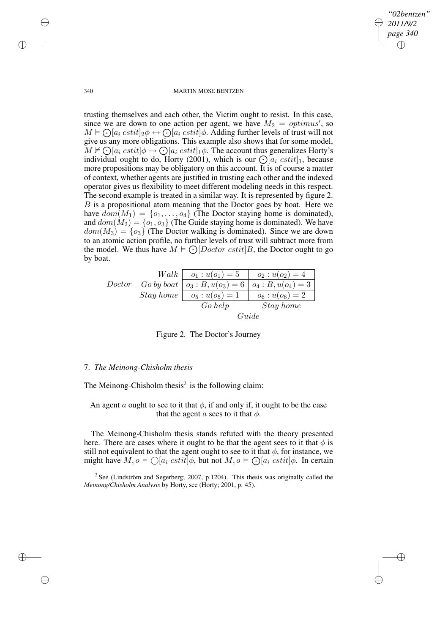*"02bentzen" 2011/9/2 page 340* ✐ ✐

✐

✐

### 340 MARTIN MOSE BENTZEN

trusting themselves and each other, the Victim ought to resist. In this case, since we are down to one action per agent, we have  $M_2 = optimus'$ , so  $M \models \bigodot [a_i \; cstit]_2 \phi \leftrightarrow \bigodot [a_i \; cstit] \phi$ . Adding further levels of trust will not give us any more obligations. This example also shows that for some model,  $\widetilde{M} \nvDash \bigodot [a_i \; cstit] \phi \rightarrow \bigodot [a_i \; cstit]_1 \phi$ . The account thus generalizes Horty's individual ought to do, Horty (2001), which is our  $\bigcirc a_i \, cstit]_1$ , because more propositions may be obligatory on this account. It is of course a matter of context, whether agents are justified in trusting each other and the indexed operator gives us flexibility to meet different modeling needs in this respect. The second example is treated in a similar way. It is represented by figure 2. B is a propositional atom meaning that the Doctor goes by boat. Here we have  $dom(M_1) = \{o_1, \ldots, o_4\}$  (The Doctor staying home is dominated), and  $dom(M_2) = \{o_1, o_3\}$  (The Guide staying home is dominated). We have  $dom(M_3) = \{o_3\}$  (The Doctor walking is dominated). Since we are down to an atomic action profile, no further levels of trust will subtract more from the model. We thus have  $M \models \bigodot [ Doctor \; cstit]B$ , the Doctor ought to go by boat.

| Walk      | $o_1: u(o_1) = 5$ | $o_2: u(o_2) = 4$    |                      |
|-----------|-------------------|----------------------|----------------------|
| Doctor    | $Go by boat$      | $o_3: B, u(o_3) = 6$ | $o_4: B, u(o_4) = 3$ |
| Stay home | $o_5: u(o_5) = 1$ | $o_6: u(o_6) = 2$    |                      |
| Go help   | Stay home         |                      |                      |
| Guide     |                   |                      |                      |

Figure 2. The Doctor's Journey

### 7. *The Meinong-Chisholm thesis*

The Meinong-Chisholm thesis<sup>2</sup> is the following claim:

An agent a ought to see to it that  $\phi$ , if and only if, it ought to be the case that the agent a sees to it that  $\phi$ .

The Meinong-Chisholm thesis stands refuted with the theory presented here. There are cases where it ought to be that the agent sees to it that  $\phi$  is still not equivalent to that the agent ought to see to it that  $\phi$ , for instance, we might have  $M, o \models \bigcirc [a_i \; csti \check{t}] \phi$ , but not  $M, o \models \bigcirc [a_i \; csti \check{t}] \phi$ . In certain

 $2$  See (Lindström and Segerberg; 2007, p.1204). This thesis was originally called the *Meinong/Chisholm Analysis* by Horty, see (Horty; 2001, p. 45).

✐

✐

✐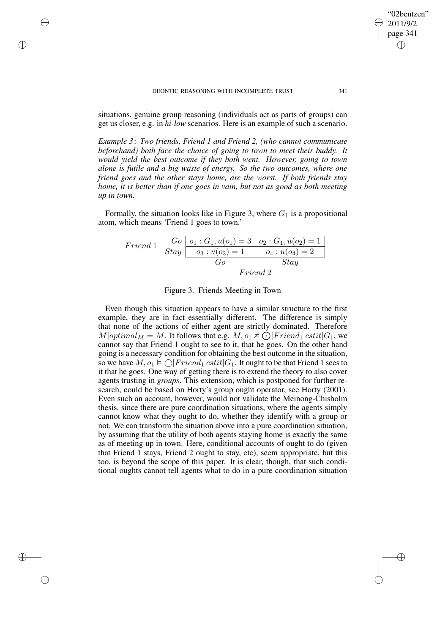✐

✐

✐

✐

situations, genuine group reasoning (individuals act as parts of groups) can get us closer, e.g. in *hi-low* scenarios. Here is an example of such a scenario.

*Example 3*: *Two friends, Friend 1 and Friend 2, (who cannot communicate beforehand) both face the choice of going to town to meet their buddy. It would yield the best outcome if they both went. However, going to town alone is futile and a big waste of energy. So the two outcomes, where one friend goes and the other stays home, are the worst. If both friends stay home, it is better than if one goes in vain, but not as good as both meeting up in town.*

Formally, the situation looks like in Figure 3, where  $G_1$  is a propositional atom, which means 'Friend 1 goes to town.'

friend 1

\n
$$
Gradient 1 \quad Go \quad o_1: G_1, u(o_1) = 3 \quad o_2: G_1, u(o_2) = 1
$$
\n
$$
Stay \quad o_3: u(o_3) = 1 \quad o_4: u(o_4) = 2
$$
\n
$$
Go \quad Stay
$$
\n
$$
Friend 2
$$

Figure 3. Friends Meeting in Town

Even though this situation appears to have a similar structure to the first example, they are in fact essentially different. The difference is simply that none of the actions of either agent are strictly dominated. Therefore  $M|optimal_M = M$ . It follows that e.g.  $M, o_1 \nvDash \text{O}[friend_1 \; \text{cstit}]G_1$ , we cannot say that Friend 1 ought to see to it, that he goes. On the other hand going is a necessary condition for obtaining the best outcome in the situation, so we have  $M, o_1 \models \bigcirc [Friend_1 \; cstit] G_1$ . It ought to be that Friend 1 sees to it that he goes. One way of getting there is to extend the theory to also cover agents trusting in *groups*. This extension, which is postponed for further research, could be based on Horty's group ought operator, see Horty (2001). Even such an account, however, would not validate the Meinong-Chisholm thesis, since there are pure coordination situations, where the agents simply cannot know what they ought to do, whether they identify with a group or not. We can transform the situation above into a pure coordination situation, by assuming that the utility of both agents staying home is exactly the same as of meeting up in town. Here, conditional accounts of ought to do (given that Friend 1 stays, Friend 2 ought to stay, etc), seem appropriate, but this too, is beyond the scope of this paper. It is clear, though, that such conditional oughts cannot tell agents what to do in a pure coordination situation

"02bentzen" 2011/9/2 page 341

✐

✐

✐